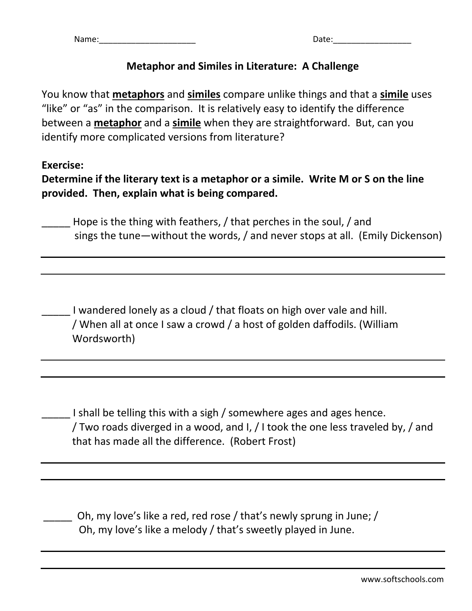## **Metaphor and Similes in Literature: A Challenge**

You know that **metaphors** and **similes** compare unlike things and that a **simile** uses "like" or "as" in the comparison. It is relatively easy to identify the difference between a **metaphor** and a **simile** when they are straightforward. But, can you identify more complicated versions from literature?

#### **Exercise:**

**Determine if the literary text is a metaphor or a simile. Write M or S on the line provided. Then, explain what is being compared.** 

Hope is the thing with feathers, / that perches in the soul, / and sings the tune—without the words, / and never stops at all. (Emily Dickenson)

I wandered lonely as a cloud / that floats on high over vale and hill. / When all at once I saw a crowd / a host of golden daffodils. (William Wordsworth)

I shall be telling this with a sigh / somewhere ages and ages hence. / Two roads diverged in a wood, and I, / I took the one less traveled by, / and that has made all the difference. (Robert Frost)

Oh, my love's like a red, red rose / that's newly sprung in June; / Oh, my love's like a melody / that's sweetly played in June.